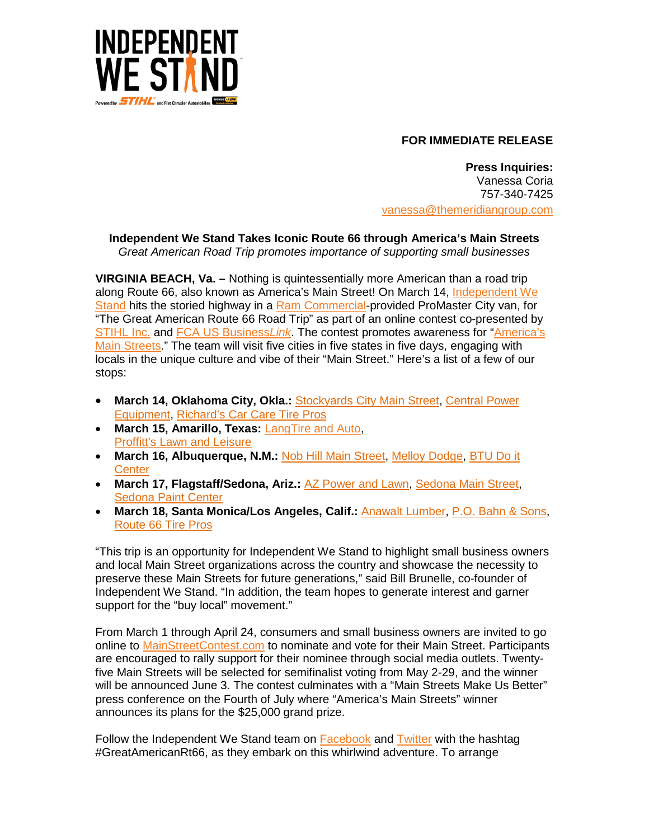

## **FOR IMMEDIATE RELEASE**

**Press Inquiries:** Vanessa Coria 757-340-7425 [vanessa@themeridiangroup.com](mailto:vanessa@themeridiangroup.com)

**Independent We Stand Takes Iconic Route 66 through America's Main Streets**

*Great American Road Trip promotes importance of supporting small businesses* 

**VIRGINIA BEACH, Va. –** Nothing is quintessentially more American than a road trip along Route 66, also known as America's Main Street! On March 14, [Independent We](http://www.independentwestand.org/)  [Stand](http://www.independentwestand.org/) hits the storied highway in a [Ram Commercial-](http://www.ramtrucks.com/en/ram_promaster_city/?sid=1037056&KWNM=%2Bram+%2Bcommercial+%2Bpromaster+%2Bcity&KWID=43700006626650038&TR=1&channel=paidsearch&dclid=COyRzNPKp8sCFddANwodps4GqA)provided ProMaster City van, for **Crang this the sterled ingline, the community of an online contest co-presented by**<br>"The Great American Route 66 Road Trip" as part of an online contest co-presented by [STIHL Inc.](http://www.stihlusa.com/) and [FCA US Business](http://www.fcaworkvehiclesus.com/)*Link*. The contest promotes awareness for ["America's](http://www.mainstreetcontest.com/)  [Main Streets.](http://www.mainstreetcontest.com/)" The team will visit five cities in five states in five days, engaging with locals in the unique culture and vibe of their "Main Street." Here's a list of a few of our stops:

- **March 14, Oklahoma City, Okla.:** [Stockyards City Main Street,](http://www.stockyardscity.org/) [Central Power](http://www.centralpowerequipment.com/)  [Equipment,](http://www.centralpowerequipment.com/) [Richard's Car Care Tire Pros](http://richardscarcare.com/)
- **March 15, Amarillo, Texas:** [LangTire and Auto,](http://langtireandauto.com/) [Proffitt's Lawn and Leisure](http://www.proffittslawn.com/)
- **March 16, Albuquerque, N.M.:** [Nob Hill Main Street,](http://route66central.com/) [Melloy Dodge,](http://www.melloydodge.com/) [BTU Do it](https://www.btudoitcenter.com/)  **[Center](https://www.btudoitcenter.com/)**
- **March 17, Flagstaff/Sedona, Ariz.:** [AZ Power and Lawn,](http://www.azpowerandlawn.com/) [Sedona Main Street,](http://www.sedonamainstreet.com/) [Sedona Paint Center](http://sedonapaintcenter.com/)
- **March 18, Santa Monica/Los Angeles, Calif.:** [Anawalt Lumber,](http://www.anawaltlumber.com/) [P.O. Bahn & Sons,](http://www.pobahn.com/about-om) [Route 66 Tire Pros](http://mytirepros.com/)

"This trip is an opportunity for Independent We Stand to highlight small business owners and local Main Street organizations across the country and showcase the necessity to preserve these Main Streets for future generations," said Bill Brunelle, co-founder of Independent We Stand. "In addition, the team hopes to generate interest and garner support for the "buy local" movement."

From March 1 through April 24, consumers and small business owners are invited to go online to [MainStreetContest.com](http://mainstreetcontest.com/) to nominate and vote for their Main Street. Participants are encouraged to rally support for their nominee through social media outlets. Twentyfive Main Streets will be selected for semifinalist voting from May 2-29, and the winner will be announced June 3. The contest culminates with a "Main Streets Make Us Better" press conference on the Fourth of July where "America's Main Streets" winner announces its plans for the \$25,000 grand prize.

Follow the Independent We Stand team on [Facebook](https://www.facebook.com/independentwestand/?fref=ts) and [Twitter](https://twitter.com/IndWeStand) with the hashtag #GreatAmericanRt66, as they embark on this whirlwind adventure. To arrange